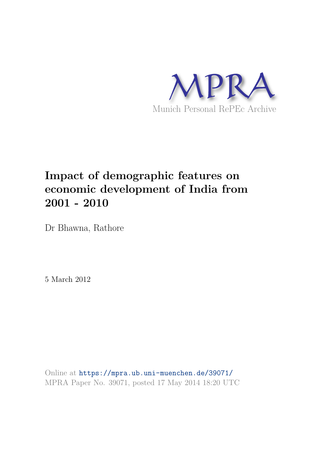

## **Impact of demographic features on economic development of India from 2001 - 2010**

Dr Bhawna, Rathore

5 March 2012

Online at https://mpra.ub.uni-muenchen.de/39071/ MPRA Paper No. 39071, posted 17 May 2014 18:20 UTC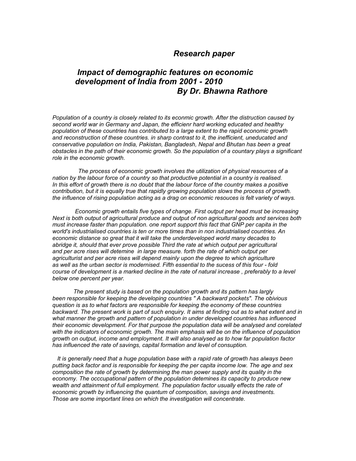## *Research paper*

## *Impact of demographic features on economic development of India from 2001 - 2010 By Dr. Bhawna Rathore*

*Population of a country is closely related to its econmic growth. After the distruction caused by second world war in Germany and Japan, the efficienr hard working educated and healthy population of these countries has contributed to a large extent to the rapid economic growth and reconstruction of these countries. in sharp contrast to it, the inefficient, uneducated and conservative population on India, Pakistan, Bangladesh, Nepal and Bhutan has been a great obstacles in the path of their economic growth. So the population of a countary plays a significant role in the economic growth.*

 *The process of economic growth involves the utilization of physical resources of a nation by the labour force of a country so that productive potential in a country is realised.*  In this effort of growth there is no doubt that the labour force of the country makes a positive *contribution, but it is equally true that rapidly growing population slows the process of growth. the influence of rising population acting as a drag on economic resouces is felt variety of ways.*

 *Economic growth entails five types of change. First output per head must be increasing Next is both output of agricultural produce and output of non agricultural goods and services both must increase faster than population. one report support this fact that GNP per capita in the world's industrialised countries is ten or more times than in non industrialised countries. An economic distance so great that it will take the underdeveloped world many decades to* abridge it, should that ever prove possible Third the rate at which output per agricultural *and per acre rises will detemine in large measure. forth the rate of which output per agriculturist and per acre rises will depend mainly upon the degree to which agriculture as well as the urban sector is modernised. Fifth essential to the sucess of this four - fold course of development is a marked decline in the rate of natural increase , preferably to a level below one percent per year.*

 *The present study is based on the population growth and its pattern has largly been responsible for keeping the developing countries " A backward pockets". The obivious question is as to what factors are responsible for keeping the economy of these countries backward. The present work is part of such enquiry. It aims at finding out as to what extent and in what manner the growth and pattern of population in under developed countries has influenced their economic development. For that purpose the population data will be analysed and corelated with the indicators of economic growth. The main emphasis will be on the influence of population growth on output, income and employment. It will also analysed as to how far population factor has influenced the rate of savings, capital formation and level of consuption.*

 *It is generally need that a huge population base with a rapid rate of growth has always been putting back factor and is responsible for keeping the per capita income low. The age and sex composition the rate of growth by determining the man power supply and its quality in the economy. The occcupational pattern of the population detemines its capacity to produce new*  wealth and attainment of full employment. The population factor usually effects the rate of *economic growth by influencing the quantum of composition, savings and investments. Those are some important lines on which the investigation will concentrate.*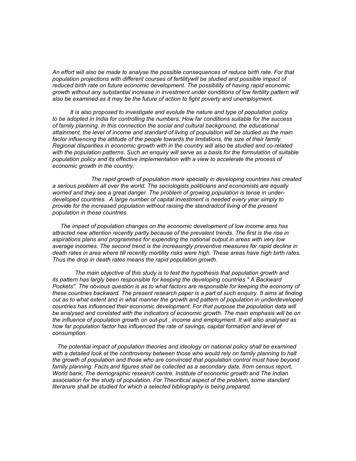*An effort will also be made to analyse the possible consequences of reduce birth rate. For that population projections with different courses of fertilitywill be studied and possible impact of reduced birth rate on future economic development. The possibility of having rapid economic growth without any substantial increase in investment under conditions of low fertility pattern will also be examined as it may be the future of action to fight poverty and unemployment.*

 *It is also proposed to investigate and evolute the nature and type of population policy to be adopted in India for controlling the numbers. How far conditions suitable for the success of family planning. In this connection the social and cultural background, the educational attainment, the level of income and standard of living of population will be studied as the main*  factor influencing the attitude of the people towards the limitations, the size of their family. *Regional disparities in economic growth with in the country will also be studied and co-related with the population patterns. Such an enquiry will serve as a basis for the formulation of suitable population policy and its effective implementation with a view to accelerate the process of economic growth in the country.*

 *The rapid growth of population more specially in developing countries has created a serious problem all over the world. The sociologists politicians and economists are equally worried and they see a great danger. The problem of growing population is tense in underdeveloped countries. A large number of capital investment is needed every year simply to provide for the increased population without raising the standradcof living of the present population in these countries.*

 *The impact of population changes on the economic development of low income ares has attracted new attention recently partly because of the prevalent trends. The first is the rise in aspirations plans and programmes for expending the national output in areas with very low average incomes. The second trend is the increasingly preventive measures for rapid decline in death rates in area where till recently mortility risks were high. These areas have high birth rates. Thus the drop in death rates means the rapid population growth.*

 *The main objective of this study is to test the hypothesis that population growth and its pattern has largly been responsible for keeping the developing countries " A Backward Pockets". The obvious question is as to what factors are responsible for keeping the economy of these countries backward. The present research paper is a part of such enquiry. It aims at finding out as to what extent and in what manner the growth and pattern of population in underdeveloped countries has influenced their economic development. For that purpose the population data will be analysed and corelated with the indicators of economic growth. The main emphasis will be on the influence of population growth on out-put , income and employment. It will also analysed as*  how far population factor has influenced the rate of savings, capital formation and level of *consumption.*

 *The potential impact of population theories and ideology on national policy shall be examined with a detailed look at the conttroversy between those who would rely on family planning to halt the growth of population and those who are convinced that population control must have beyond*  family planning. Facts and figures shall be collected as a secondary data, from census report, *World bank, The demographic research centre, Institute of economic growth and The Indian association for the study of population. For Theoritical aspect of the problem, some standard literarure shall be studied for which a selected bibliography is being prepared.*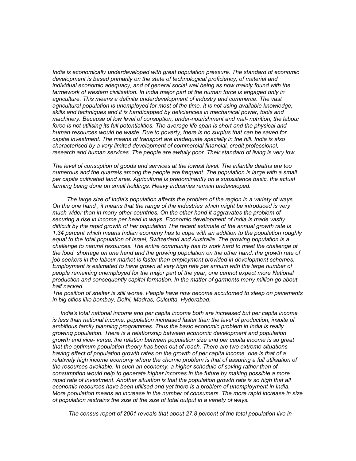*India is economically underdeveloped with great population pressure. The standard of economic development is based primarily on the state of technological proficiency, of material and individual economic adequacy, and of general social well being as now mainly found with the farmework of western civilisation. In India major part of the human force is engaged only in agriculture. This means a definite underdevelopment of industry and commerce. The vast agricultural population is unemployed for most of the time. It is not using available knowledge, skills and techniques and it is handicapped by deficiencies in mechanical power, tools and machinery. Because of low level of consuption, under-nourishment and mal- nutrition, the labour*  force is not utilising its full potentialities. The average life span is short and the physical and *human resources would be waste. Due to poverty, there is no surplus that can be saved for capital investment. The means of transport are inadequate specially in the hill. India is also characterised by a very limited development of commercial financial, credit professional, research and human services. The people are awfully poor. Their standard of living is very low.*

*The level of consuption of goods and services at the lowest level. The infantile deaths are too numerous and the quarrels among the people are frequent. The population is large with a small per capita cultivated land area. Agricultural is predominantly on a subsistence basic, the actual farming being done on small holdings. Heavy industries remain undeveloped.*

 *The large size of India's population affects the problem of the region in a variety of ways. On the one hand , it means that the range of the industries which might be introduced is very much wider than in many other countries. On the other hand it aggravates the problem of securing a rise in income per head in ways. Economic development of India is made vastly difficult by the rapid growth of her population The recent estimate of the annual growth rate is 1.34 percent which means Indian economy has to cope with an addition to the population roughly equal to the total population of Israel, Switzerland and Australia. The growing population is a challenge to natural resources. The entire community has to work hard to meet the challenge of the food shortage on one hand and the growing population on the other hand. the growth rate of job seekers in the labour market is faster than employment provided in development schemes. Employment is estimated to have grown at very high rate per annum with the large number of people remaining unemployed for the major part of the year, one cannot expect more National production and consequently capital formation. In the matter of garments many million go about half nacked.*

*The position of shelter is still worse. People have now become accutomed to sleep on pavements in big cities like bombay, Delhi, Madras, Culcutta, Hyderabad.*

 *India's total national income and per capita income both are increased but per capita income*  is less than national income. population increased faster than the lavel of production, inspite of *ambitious family planning programmes. Thus the basic economic problem in India is really growing population. There is a relationship between economic development and population growth and vice- versa. the relation between population size and per capita income is so great that the optimum population theory has been out of reach. There are two extreme situations having effect of population growth rates on the growth of per capita income. one is that of a*  relatively high income economy where the chornic problem is that of assuring a full utilisation of *the resources available. In such an economy, a higher schedule of saving rather than of consumption would help to generate higher incomes in the future by making possible a more*  rapid rate of investment. Another situation is that the population growth rate is so high that all *economic resources have been utilised and yet there is a problem of unemployment in India. More population means an increase in the number of consumers. The more rapid increase in size of population restrains the size of the size of total output in a variety of ways.*

 *The census report of 2001 reveals that about 27.8 percent of the total population live in*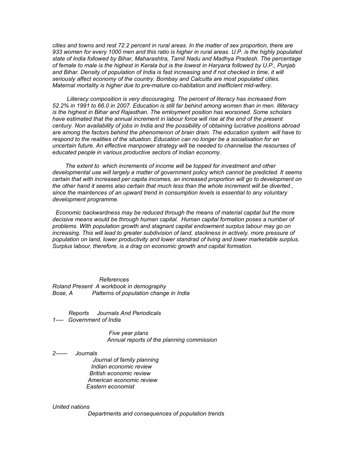*cities and towns and rest 72.2 percent in rural areas. In the matter of sex proportion, there are 933 women for every 1000 men and this ratio is higher in rural areas. U.P. is the highly populated state of India followed by Bihar, Maharashtra, Tamil Nadu and Madhya Pradesh. The percentage of female to male is the highest in Kerala but is the lowest in Haryana followed by U.P., Punjab*  and Bihar. Density of population of India is fast increasing and if not checked in time, it will *seriously affect economy of the country. Bombay and Calcutta are most populated cities. Maternal mortality is higher due to pre-mature co-habitation and inefficient mid-wifery.*

 *Liiteracy composition is very discouraging. The percent of literacy has increased from 52.2% in 1991 to 66.0 in 2007. Education is still far behind among women than in men. Illiteracy is the highest in Bihar and Rajasthan. The emloyment position has worsoned. Some scholars have estimated that the annual increment in labour force will rise at the end of the present century. Non availability of jobs in India and the possibility of obtaining lucrative positions abroad are among the factors behind the phenomenon of brain drain. The education system will have to respond to the realities of the situation. Education can no longer be a socialisation for an uncertain future. An effective manpower strategy will be needed to channelise the resourses of educated people in various productive sectors of Indian economy.*

 *The extent to which increments of income will be topped for investment and other developmental use will largely a matter of government policy which cannot be predicted. It seems certain that with increased per capita incomes, an increased proportion will go to development on the other hand it seems also certain that much less than the whole increment will be diverted , since the maintences of an upward trend in consumption levels is essential to any voluntary development programme.*

 *Economic backwardness may be reduced through the means of material capital but the more decisive means would be through human capital. Human capital formation poses a number of problems. With population growth and stagnant capital endowment surplus labour may go on*  increasing. This will lead to greater subdivision of land, stackness in actively, more pressure of *population on land, lower productivity and lower standrad of living and lower marketable surplus. Surplus labour, therefore, is a drag on economic growth and capital formation.*

## *References*

*Roland Present A workbook in demography Bose, A Patterns of population change in India*

 *Reports Journals And Periodicals 1---- Government of India* 

> *Five year plans Annual reports of the planning commission*

*2------ Journals* 

 *Journal of family planning Indian economic review British economic review American economic review Eastern economist*

*United nations* 

 *Departments and consequences of population trends*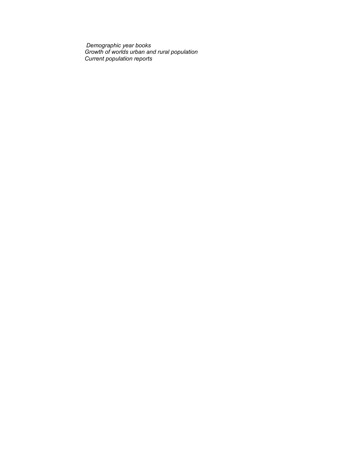*Demographic year books Growth of worlds urban and rural population Current population reports*